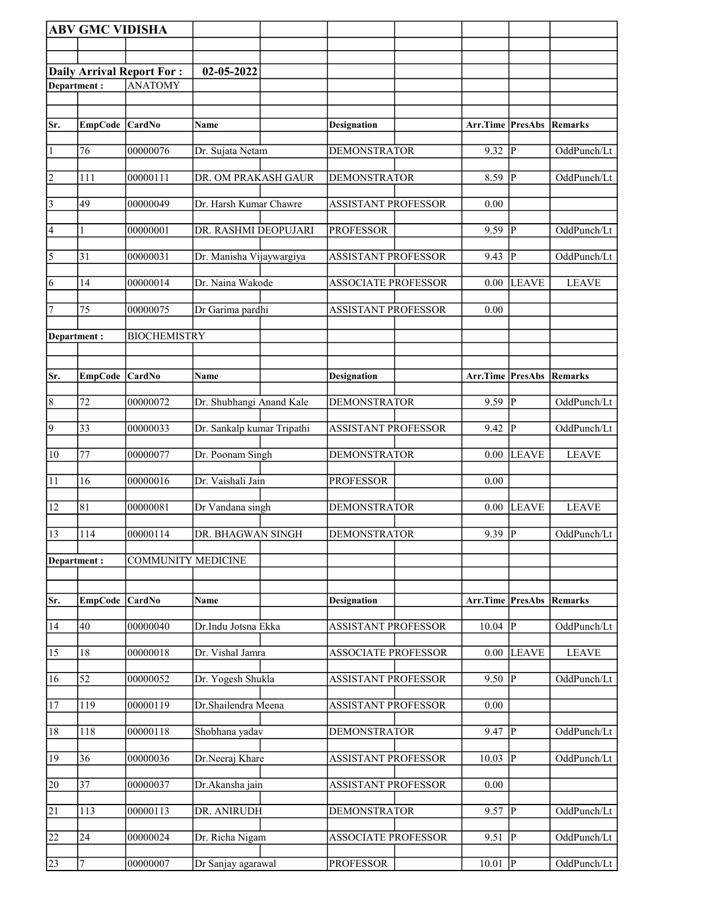| <b>Daily Arrival Report For:</b><br>02-05-2022<br><b>ANATOMY</b><br>Department:<br>Sr.<br><b>EmpCode</b><br>CardNo<br>Arr.Time PresAbs<br><b>Designation</b><br>Remarks<br>Name<br>9.32<br> P<br>$\vert$ 1<br>76<br>00000076<br><b>DEMONSTRATOR</b><br>OddPunch/Lt<br>Dr. Sujata Netam<br>$\vert$ 2<br>00000111<br> P<br>111<br>DR. OM PRAKASH GAUR<br><b>DEMONSTRATOR</b><br>8.59<br>OddPunch/Lt<br>$\vert 3 \vert$<br><b>ASSISTANT PROFESSOR</b><br>49<br>00000049<br>Dr. Harsh Kumar Chawre<br>0.00<br>$\vert 4 \vert$<br>lР<br>DR. RASHMI DEOPUJARI<br><b>PROFESSOR</b><br>9.59<br>OddPunch/Lt<br>$\mathbf{1}$<br>00000001<br>$\overline{\mathbf{5}}$<br>$\overline{P}$<br>31<br>00000031<br>Dr. Manisha Vijaywargiya<br>9.43<br>OddPunch/Lt<br><b>ASSISTANT PROFESSOR</b><br>6<br>00000014<br>Dr. Naina Wakode<br>14<br><b>ASSOCIATE PROFESSOR</b><br>0.00<br><b>LEAVE</b><br><b>LEAVE</b><br>7<br>75<br>00000075<br>Dr Garima pardhi<br><b>ASSISTANT PROFESSOR</b><br>0.00<br><b>BIOCHEMISTRY</b><br>Department:<br>Arr.Time PresAbs<br>Sr.<br><b>CardNo</b><br><b>Designation</b><br><b>EmpCode</b><br>Name<br><b>Remarks</b><br>$9.59$ P<br>$\sqrt{8}$<br>72<br>Dr. Shubhangi Anand Kale<br>00000072<br><b>DEMONSTRATOR</b><br>OddPunch/Lt<br>$\overline{9}$<br>33<br>lР<br>00000033<br>Dr. Sankalp kumar Tripathi<br><b>ASSISTANT PROFESSOR</b><br>9.42<br>OddPunch/Lt<br>77<br>$ 10\rangle$<br>Dr. Poonam Singh<br><b>DEMONSTRATOR</b><br><b>LEAVE</b><br><b>LEAVE</b><br>00000077<br>$0.00\,$<br>11<br>16<br>00000016<br>Dr. Vaishali Jain<br><b>PROFESSOR</b><br>0.00<br>12<br>81<br><b>DEMONSTRATOR</b><br><b>LEAVE</b><br>00000081<br>Dr Vandana singh<br><b>LEAVE</b><br>0.00<br>$9.39$ P<br>13<br>114<br>00000114<br>OddPunch/Lt<br>DR. BHAGWAN SINGH<br><b>DEMONSTRATOR</b><br><b>COMMUNITY MEDICINE</b><br>Department:<br>Arr.Time PresAbs<br><b>EmpCode</b><br><b>CardNo</b><br><b>Name</b><br><b>Remarks</b><br>Sr.<br><b>Designation</b><br>40<br>P<br>00000040<br>Dr.Indu Jotsna Ekka<br><b>ASSISTANT PROFESSOR</b><br>10.04<br>OddPunch/Lt<br>14<br>00000018<br>Dr. Vishal Jamra<br><b>ASSOCIATE PROFESSOR</b><br><b>LEAVE</b><br><b>LEAVE</b><br>15<br>18<br>$0.00\,$<br>00000052<br>Dr. Yogesh Shukla<br>9.50<br> P<br>OddPunch/Lt<br>16<br>52<br><b>ASSISTANT PROFESSOR</b><br>17<br>119<br>00000119<br>Dr.Shailendra Meena<br><b>ASSISTANT PROFESSOR</b><br>0.00<br>Shobhana yadav<br>$9.47$ P<br>18<br>118<br>00000118<br><b>DEMONSTRATOR</b><br>OddPunch/Lt<br>36<br> P<br>19<br>Dr.Neeraj Khare<br>ASSISTANT PROFESSOR<br>10.03<br>OddPunch/Lt<br>00000036<br>$\overline{37}$<br>Dr.Akansha jain<br><b>ASSISTANT PROFESSOR</b><br>20<br>00000037<br>0.00<br>21<br>113<br>00000113<br><b>DEMONSTRATOR</b><br>9.57<br> P <br>DR. ANIRUDH<br>OddPunch/Lt<br>22<br>24<br>00000024<br> P<br>OddPunch/Lt<br>Dr. Richa Nigam<br><b>ASSOCIATE PROFESSOR</b><br>9.51<br>$10.01$ P<br>Dr Sanjay agarawal |    | <b>ABV GMC VIDISHA</b> |          |  |                  |  |             |
|------------------------------------------------------------------------------------------------------------------------------------------------------------------------------------------------------------------------------------------------------------------------------------------------------------------------------------------------------------------------------------------------------------------------------------------------------------------------------------------------------------------------------------------------------------------------------------------------------------------------------------------------------------------------------------------------------------------------------------------------------------------------------------------------------------------------------------------------------------------------------------------------------------------------------------------------------------------------------------------------------------------------------------------------------------------------------------------------------------------------------------------------------------------------------------------------------------------------------------------------------------------------------------------------------------------------------------------------------------------------------------------------------------------------------------------------------------------------------------------------------------------------------------------------------------------------------------------------------------------------------------------------------------------------------------------------------------------------------------------------------------------------------------------------------------------------------------------------------------------------------------------------------------------------------------------------------------------------------------------------------------------------------------------------------------------------------------------------------------------------------------------------------------------------------------------------------------------------------------------------------------------------------------------------------------------------------------------------------------------------------------------------------------------------------------------------------------------------------------------------------------------------------------------------------------------------------------------------------------------------------------------------------------------------------------------------------------------------------------------------------------------------------------------------------------------------------------------------------------------------------------------------------------------------------|----|------------------------|----------|--|------------------|--|-------------|
|                                                                                                                                                                                                                                                                                                                                                                                                                                                                                                                                                                                                                                                                                                                                                                                                                                                                                                                                                                                                                                                                                                                                                                                                                                                                                                                                                                                                                                                                                                                                                                                                                                                                                                                                                                                                                                                                                                                                                                                                                                                                                                                                                                                                                                                                                                                                                                                                                                                                                                                                                                                                                                                                                                                                                                                                                                                                                                                              |    |                        |          |  |                  |  |             |
|                                                                                                                                                                                                                                                                                                                                                                                                                                                                                                                                                                                                                                                                                                                                                                                                                                                                                                                                                                                                                                                                                                                                                                                                                                                                                                                                                                                                                                                                                                                                                                                                                                                                                                                                                                                                                                                                                                                                                                                                                                                                                                                                                                                                                                                                                                                                                                                                                                                                                                                                                                                                                                                                                                                                                                                                                                                                                                                              |    |                        |          |  |                  |  |             |
|                                                                                                                                                                                                                                                                                                                                                                                                                                                                                                                                                                                                                                                                                                                                                                                                                                                                                                                                                                                                                                                                                                                                                                                                                                                                                                                                                                                                                                                                                                                                                                                                                                                                                                                                                                                                                                                                                                                                                                                                                                                                                                                                                                                                                                                                                                                                                                                                                                                                                                                                                                                                                                                                                                                                                                                                                                                                                                                              |    |                        |          |  |                  |  |             |
|                                                                                                                                                                                                                                                                                                                                                                                                                                                                                                                                                                                                                                                                                                                                                                                                                                                                                                                                                                                                                                                                                                                                                                                                                                                                                                                                                                                                                                                                                                                                                                                                                                                                                                                                                                                                                                                                                                                                                                                                                                                                                                                                                                                                                                                                                                                                                                                                                                                                                                                                                                                                                                                                                                                                                                                                                                                                                                                              |    |                        |          |  |                  |  |             |
|                                                                                                                                                                                                                                                                                                                                                                                                                                                                                                                                                                                                                                                                                                                                                                                                                                                                                                                                                                                                                                                                                                                                                                                                                                                                                                                                                                                                                                                                                                                                                                                                                                                                                                                                                                                                                                                                                                                                                                                                                                                                                                                                                                                                                                                                                                                                                                                                                                                                                                                                                                                                                                                                                                                                                                                                                                                                                                                              |    |                        |          |  |                  |  |             |
|                                                                                                                                                                                                                                                                                                                                                                                                                                                                                                                                                                                                                                                                                                                                                                                                                                                                                                                                                                                                                                                                                                                                                                                                                                                                                                                                                                                                                                                                                                                                                                                                                                                                                                                                                                                                                                                                                                                                                                                                                                                                                                                                                                                                                                                                                                                                                                                                                                                                                                                                                                                                                                                                                                                                                                                                                                                                                                                              |    |                        |          |  |                  |  |             |
|                                                                                                                                                                                                                                                                                                                                                                                                                                                                                                                                                                                                                                                                                                                                                                                                                                                                                                                                                                                                                                                                                                                                                                                                                                                                                                                                                                                                                                                                                                                                                                                                                                                                                                                                                                                                                                                                                                                                                                                                                                                                                                                                                                                                                                                                                                                                                                                                                                                                                                                                                                                                                                                                                                                                                                                                                                                                                                                              |    |                        |          |  |                  |  |             |
|                                                                                                                                                                                                                                                                                                                                                                                                                                                                                                                                                                                                                                                                                                                                                                                                                                                                                                                                                                                                                                                                                                                                                                                                                                                                                                                                                                                                                                                                                                                                                                                                                                                                                                                                                                                                                                                                                                                                                                                                                                                                                                                                                                                                                                                                                                                                                                                                                                                                                                                                                                                                                                                                                                                                                                                                                                                                                                                              |    |                        |          |  |                  |  |             |
|                                                                                                                                                                                                                                                                                                                                                                                                                                                                                                                                                                                                                                                                                                                                                                                                                                                                                                                                                                                                                                                                                                                                                                                                                                                                                                                                                                                                                                                                                                                                                                                                                                                                                                                                                                                                                                                                                                                                                                                                                                                                                                                                                                                                                                                                                                                                                                                                                                                                                                                                                                                                                                                                                                                                                                                                                                                                                                                              |    |                        |          |  |                  |  |             |
|                                                                                                                                                                                                                                                                                                                                                                                                                                                                                                                                                                                                                                                                                                                                                                                                                                                                                                                                                                                                                                                                                                                                                                                                                                                                                                                                                                                                                                                                                                                                                                                                                                                                                                                                                                                                                                                                                                                                                                                                                                                                                                                                                                                                                                                                                                                                                                                                                                                                                                                                                                                                                                                                                                                                                                                                                                                                                                                              |    |                        |          |  |                  |  |             |
|                                                                                                                                                                                                                                                                                                                                                                                                                                                                                                                                                                                                                                                                                                                                                                                                                                                                                                                                                                                                                                                                                                                                                                                                                                                                                                                                                                                                                                                                                                                                                                                                                                                                                                                                                                                                                                                                                                                                                                                                                                                                                                                                                                                                                                                                                                                                                                                                                                                                                                                                                                                                                                                                                                                                                                                                                                                                                                                              |    |                        |          |  |                  |  |             |
|                                                                                                                                                                                                                                                                                                                                                                                                                                                                                                                                                                                                                                                                                                                                                                                                                                                                                                                                                                                                                                                                                                                                                                                                                                                                                                                                                                                                                                                                                                                                                                                                                                                                                                                                                                                                                                                                                                                                                                                                                                                                                                                                                                                                                                                                                                                                                                                                                                                                                                                                                                                                                                                                                                                                                                                                                                                                                                                              |    |                        |          |  |                  |  |             |
|                                                                                                                                                                                                                                                                                                                                                                                                                                                                                                                                                                                                                                                                                                                                                                                                                                                                                                                                                                                                                                                                                                                                                                                                                                                                                                                                                                                                                                                                                                                                                                                                                                                                                                                                                                                                                                                                                                                                                                                                                                                                                                                                                                                                                                                                                                                                                                                                                                                                                                                                                                                                                                                                                                                                                                                                                                                                                                                              |    |                        |          |  |                  |  |             |
|                                                                                                                                                                                                                                                                                                                                                                                                                                                                                                                                                                                                                                                                                                                                                                                                                                                                                                                                                                                                                                                                                                                                                                                                                                                                                                                                                                                                                                                                                                                                                                                                                                                                                                                                                                                                                                                                                                                                                                                                                                                                                                                                                                                                                                                                                                                                                                                                                                                                                                                                                                                                                                                                                                                                                                                                                                                                                                                              |    |                        |          |  |                  |  |             |
|                                                                                                                                                                                                                                                                                                                                                                                                                                                                                                                                                                                                                                                                                                                                                                                                                                                                                                                                                                                                                                                                                                                                                                                                                                                                                                                                                                                                                                                                                                                                                                                                                                                                                                                                                                                                                                                                                                                                                                                                                                                                                                                                                                                                                                                                                                                                                                                                                                                                                                                                                                                                                                                                                                                                                                                                                                                                                                                              |    |                        |          |  |                  |  |             |
|                                                                                                                                                                                                                                                                                                                                                                                                                                                                                                                                                                                                                                                                                                                                                                                                                                                                                                                                                                                                                                                                                                                                                                                                                                                                                                                                                                                                                                                                                                                                                                                                                                                                                                                                                                                                                                                                                                                                                                                                                                                                                                                                                                                                                                                                                                                                                                                                                                                                                                                                                                                                                                                                                                                                                                                                                                                                                                                              |    |                        |          |  |                  |  |             |
|                                                                                                                                                                                                                                                                                                                                                                                                                                                                                                                                                                                                                                                                                                                                                                                                                                                                                                                                                                                                                                                                                                                                                                                                                                                                                                                                                                                                                                                                                                                                                                                                                                                                                                                                                                                                                                                                                                                                                                                                                                                                                                                                                                                                                                                                                                                                                                                                                                                                                                                                                                                                                                                                                                                                                                                                                                                                                                                              |    |                        |          |  |                  |  |             |
|                                                                                                                                                                                                                                                                                                                                                                                                                                                                                                                                                                                                                                                                                                                                                                                                                                                                                                                                                                                                                                                                                                                                                                                                                                                                                                                                                                                                                                                                                                                                                                                                                                                                                                                                                                                                                                                                                                                                                                                                                                                                                                                                                                                                                                                                                                                                                                                                                                                                                                                                                                                                                                                                                                                                                                                                                                                                                                                              |    |                        |          |  |                  |  |             |
|                                                                                                                                                                                                                                                                                                                                                                                                                                                                                                                                                                                                                                                                                                                                                                                                                                                                                                                                                                                                                                                                                                                                                                                                                                                                                                                                                                                                                                                                                                                                                                                                                                                                                                                                                                                                                                                                                                                                                                                                                                                                                                                                                                                                                                                                                                                                                                                                                                                                                                                                                                                                                                                                                                                                                                                                                                                                                                                              |    |                        |          |  |                  |  |             |
|                                                                                                                                                                                                                                                                                                                                                                                                                                                                                                                                                                                                                                                                                                                                                                                                                                                                                                                                                                                                                                                                                                                                                                                                                                                                                                                                                                                                                                                                                                                                                                                                                                                                                                                                                                                                                                                                                                                                                                                                                                                                                                                                                                                                                                                                                                                                                                                                                                                                                                                                                                                                                                                                                                                                                                                                                                                                                                                              |    |                        |          |  |                  |  |             |
|                                                                                                                                                                                                                                                                                                                                                                                                                                                                                                                                                                                                                                                                                                                                                                                                                                                                                                                                                                                                                                                                                                                                                                                                                                                                                                                                                                                                                                                                                                                                                                                                                                                                                                                                                                                                                                                                                                                                                                                                                                                                                                                                                                                                                                                                                                                                                                                                                                                                                                                                                                                                                                                                                                                                                                                                                                                                                                                              |    |                        |          |  |                  |  |             |
|                                                                                                                                                                                                                                                                                                                                                                                                                                                                                                                                                                                                                                                                                                                                                                                                                                                                                                                                                                                                                                                                                                                                                                                                                                                                                                                                                                                                                                                                                                                                                                                                                                                                                                                                                                                                                                                                                                                                                                                                                                                                                                                                                                                                                                                                                                                                                                                                                                                                                                                                                                                                                                                                                                                                                                                                                                                                                                                              |    |                        |          |  |                  |  |             |
|                                                                                                                                                                                                                                                                                                                                                                                                                                                                                                                                                                                                                                                                                                                                                                                                                                                                                                                                                                                                                                                                                                                                                                                                                                                                                                                                                                                                                                                                                                                                                                                                                                                                                                                                                                                                                                                                                                                                                                                                                                                                                                                                                                                                                                                                                                                                                                                                                                                                                                                                                                                                                                                                                                                                                                                                                                                                                                                              |    |                        |          |  |                  |  |             |
|                                                                                                                                                                                                                                                                                                                                                                                                                                                                                                                                                                                                                                                                                                                                                                                                                                                                                                                                                                                                                                                                                                                                                                                                                                                                                                                                                                                                                                                                                                                                                                                                                                                                                                                                                                                                                                                                                                                                                                                                                                                                                                                                                                                                                                                                                                                                                                                                                                                                                                                                                                                                                                                                                                                                                                                                                                                                                                                              |    |                        |          |  |                  |  |             |
|                                                                                                                                                                                                                                                                                                                                                                                                                                                                                                                                                                                                                                                                                                                                                                                                                                                                                                                                                                                                                                                                                                                                                                                                                                                                                                                                                                                                                                                                                                                                                                                                                                                                                                                                                                                                                                                                                                                                                                                                                                                                                                                                                                                                                                                                                                                                                                                                                                                                                                                                                                                                                                                                                                                                                                                                                                                                                                                              |    |                        |          |  |                  |  |             |
|                                                                                                                                                                                                                                                                                                                                                                                                                                                                                                                                                                                                                                                                                                                                                                                                                                                                                                                                                                                                                                                                                                                                                                                                                                                                                                                                                                                                                                                                                                                                                                                                                                                                                                                                                                                                                                                                                                                                                                                                                                                                                                                                                                                                                                                                                                                                                                                                                                                                                                                                                                                                                                                                                                                                                                                                                                                                                                                              |    |                        |          |  |                  |  |             |
|                                                                                                                                                                                                                                                                                                                                                                                                                                                                                                                                                                                                                                                                                                                                                                                                                                                                                                                                                                                                                                                                                                                                                                                                                                                                                                                                                                                                                                                                                                                                                                                                                                                                                                                                                                                                                                                                                                                                                                                                                                                                                                                                                                                                                                                                                                                                                                                                                                                                                                                                                                                                                                                                                                                                                                                                                                                                                                                              |    |                        |          |  |                  |  |             |
|                                                                                                                                                                                                                                                                                                                                                                                                                                                                                                                                                                                                                                                                                                                                                                                                                                                                                                                                                                                                                                                                                                                                                                                                                                                                                                                                                                                                                                                                                                                                                                                                                                                                                                                                                                                                                                                                                                                                                                                                                                                                                                                                                                                                                                                                                                                                                                                                                                                                                                                                                                                                                                                                                                                                                                                                                                                                                                                              |    |                        |          |  |                  |  |             |
|                                                                                                                                                                                                                                                                                                                                                                                                                                                                                                                                                                                                                                                                                                                                                                                                                                                                                                                                                                                                                                                                                                                                                                                                                                                                                                                                                                                                                                                                                                                                                                                                                                                                                                                                                                                                                                                                                                                                                                                                                                                                                                                                                                                                                                                                                                                                                                                                                                                                                                                                                                                                                                                                                                                                                                                                                                                                                                                              |    |                        |          |  |                  |  |             |
|                                                                                                                                                                                                                                                                                                                                                                                                                                                                                                                                                                                                                                                                                                                                                                                                                                                                                                                                                                                                                                                                                                                                                                                                                                                                                                                                                                                                                                                                                                                                                                                                                                                                                                                                                                                                                                                                                                                                                                                                                                                                                                                                                                                                                                                                                                                                                                                                                                                                                                                                                                                                                                                                                                                                                                                                                                                                                                                              |    |                        |          |  |                  |  |             |
|                                                                                                                                                                                                                                                                                                                                                                                                                                                                                                                                                                                                                                                                                                                                                                                                                                                                                                                                                                                                                                                                                                                                                                                                                                                                                                                                                                                                                                                                                                                                                                                                                                                                                                                                                                                                                                                                                                                                                                                                                                                                                                                                                                                                                                                                                                                                                                                                                                                                                                                                                                                                                                                                                                                                                                                                                                                                                                                              |    |                        |          |  |                  |  |             |
|                                                                                                                                                                                                                                                                                                                                                                                                                                                                                                                                                                                                                                                                                                                                                                                                                                                                                                                                                                                                                                                                                                                                                                                                                                                                                                                                                                                                                                                                                                                                                                                                                                                                                                                                                                                                                                                                                                                                                                                                                                                                                                                                                                                                                                                                                                                                                                                                                                                                                                                                                                                                                                                                                                                                                                                                                                                                                                                              |    |                        |          |  |                  |  |             |
|                                                                                                                                                                                                                                                                                                                                                                                                                                                                                                                                                                                                                                                                                                                                                                                                                                                                                                                                                                                                                                                                                                                                                                                                                                                                                                                                                                                                                                                                                                                                                                                                                                                                                                                                                                                                                                                                                                                                                                                                                                                                                                                                                                                                                                                                                                                                                                                                                                                                                                                                                                                                                                                                                                                                                                                                                                                                                                                              |    |                        |          |  |                  |  |             |
|                                                                                                                                                                                                                                                                                                                                                                                                                                                                                                                                                                                                                                                                                                                                                                                                                                                                                                                                                                                                                                                                                                                                                                                                                                                                                                                                                                                                                                                                                                                                                                                                                                                                                                                                                                                                                                                                                                                                                                                                                                                                                                                                                                                                                                                                                                                                                                                                                                                                                                                                                                                                                                                                                                                                                                                                                                                                                                                              |    |                        |          |  |                  |  |             |
|                                                                                                                                                                                                                                                                                                                                                                                                                                                                                                                                                                                                                                                                                                                                                                                                                                                                                                                                                                                                                                                                                                                                                                                                                                                                                                                                                                                                                                                                                                                                                                                                                                                                                                                                                                                                                                                                                                                                                                                                                                                                                                                                                                                                                                                                                                                                                                                                                                                                                                                                                                                                                                                                                                                                                                                                                                                                                                                              |    |                        |          |  |                  |  |             |
|                                                                                                                                                                                                                                                                                                                                                                                                                                                                                                                                                                                                                                                                                                                                                                                                                                                                                                                                                                                                                                                                                                                                                                                                                                                                                                                                                                                                                                                                                                                                                                                                                                                                                                                                                                                                                                                                                                                                                                                                                                                                                                                                                                                                                                                                                                                                                                                                                                                                                                                                                                                                                                                                                                                                                                                                                                                                                                                              | 23 | $\overline{7}$         | 00000007 |  | <b>PROFESSOR</b> |  | OddPunch/Lt |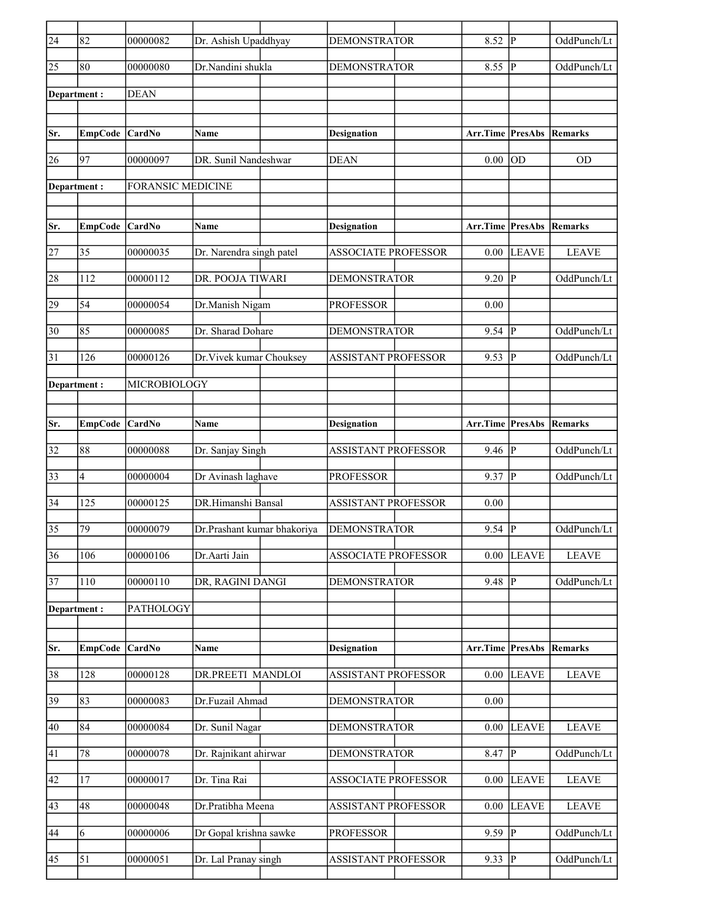| $\overline{24}$ | 82             | 00000082                 | Dr. Ashish Upaddhyay        | <b>DEMONSTRATOR</b>        | 8.52                    | lР             | OddPunch/Lt    |
|-----------------|----------------|--------------------------|-----------------------------|----------------------------|-------------------------|----------------|----------------|
| 25              | 80             | 00000080                 | Dr.Nandini shukla           | <b>DEMONSTRATOR</b>        | 8.55                    | P              | OddPunch/Lt    |
| Department:     |                | <b>DEAN</b>              |                             |                            |                         |                |                |
|                 |                |                          |                             |                            |                         |                |                |
| Sr.             | <b>EmpCode</b> | <b>CardNo</b>            | Name                        | <b>Designation</b>         | Arr.Time PresAbs        |                | Remarks        |
| 26              | 97             | 00000097                 | DR. Sunil Nandeshwar        | <b>DEAN</b>                | 0.00                    | OD             | <b>OD</b>      |
| Department :    |                | <b>FORANSIC MEDICINE</b> |                             |                            |                         |                |                |
| Sr.             | <b>EmpCode</b> | CardNo                   | Name                        | <b>Designation</b>         | <b>Arr.Time PresAbs</b> |                | <b>Remarks</b> |
|                 |                |                          |                             |                            |                         |                |                |
| 27              | 35             | 00000035                 | Dr. Narendra singh patel    | <b>ASSOCIATE PROFESSOR</b> | 0.00                    | <b>LEAVE</b>   | <b>LEAVE</b>   |
| 28              | 112            | 00000112                 | DR. POOJA TIWARI            | <b>DEMONSTRATOR</b>        | 9.20                    | P              | OddPunch/Lt    |
| 29              | 54             | 00000054                 | Dr.Manish Nigam             | <b>PROFESSOR</b>           | 0.00                    |                |                |
| 30              | 85             | 00000085                 | Dr. Sharad Dohare           | <b>DEMONSTRATOR</b>        | 9.54                    | lР             | OddPunch/Lt    |
| 31              | 126            | 00000126                 | Dr. Vivek kumar Chouksey    | <b>ASSISTANT PROFESSOR</b> | 9.53                    | <sup> </sup> P | OddPunch/Lt    |
| Department :    |                | MICROBIOLOGY             |                             |                            |                         |                |                |
|                 |                |                          |                             |                            |                         |                |                |
| Sr.             | <b>EmpCode</b> | CardNo                   | Name                        | <b>Designation</b>         | Arr.Time PresAbs        |                | <b>Remarks</b> |
| 32              | 88             | 00000088                 | Dr. Sanjay Singh            | <b>ASSISTANT PROFESSOR</b> | 9.46  P                 |                | OddPunch/Lt    |
| 33              | $\overline{4}$ | 00000004                 | Dr Avinash laghave          | <b>PROFESSOR</b>           | $9.37$ P                |                | OddPunch/Lt    |
| 34              | 125            | 00000125                 | DR.Himanshi Bansal          | <b>ASSISTANT PROFESSOR</b> | 0.00                    |                |                |
| $\overline{35}$ | 79             | 00000079                 | Dr.Prashant kumar bhakoriya | <b>DEMONSTRATOR</b>        | 9.54                    | lР             | OddPunch/Lt    |
|                 |                |                          |                             |                            |                         |                |                |
| 36              | 106            | 00000106                 | Dr.Aarti Jain               | <b>ASSOCIATE PROFESSOR</b> | 0.00                    | <b>LEAVE</b>   | <b>LEAVE</b>   |
| 37              | 110            | 00000110                 | DR, RAGINI DANGI            | <b>DEMONSTRATOR</b>        | $9.48$ P                |                | OddPunch/Lt    |
| Department:     |                | PATHOLOGY                |                             |                            |                         |                |                |
|                 |                |                          |                             |                            |                         |                |                |
| Sr.             | <b>EmpCode</b> | CardNo                   | Name                        | <b>Designation</b>         | Arr.Time PresAbs        |                | <b>Remarks</b> |
| 38              | 128            | 00000128                 | DR.PREETI MANDLOI           | ASSISTANT PROFESSOR        | 0.00                    | <b>LEAVE</b>   | <b>LEAVE</b>   |
| $\overline{39}$ | 83             | 00000083                 | Dr.Fuzail Ahmad             | <b>DEMONSTRATOR</b>        | $0.00\,$                |                |                |
| 40              | 84             | 00000084                 | Dr. Sunil Nagar             | <b>DEMONSTRATOR</b>        | 0.00                    | <b>LEAVE</b>   | <b>LEAVE</b>   |
| 41              | $78\,$         | 00000078                 | Dr. Rajnikant ahirwar       | <b>DEMONSTRATOR</b>        | $8.47$  P               |                | OddPunch/Lt    |
| 42              | 17             | 00000017                 | Dr. Tina Rai                | <b>ASSOCIATE PROFESSOR</b> | 0.00                    | <b>LEAVE</b>   | <b>LEAVE</b>   |
| 43              | 48             | 00000048                 | Dr.Pratibha Meena           | <b>ASSISTANT PROFESSOR</b> | 0.00                    | <b>LEAVE</b>   | <b>LEAVE</b>   |
| 44              | 6              | 00000006                 | Dr Gopal krishna sawke      | <b>PROFESSOR</b>           | $9.59$ P                |                | OddPunch/Lt    |
| 45              | 51             | 00000051                 | Dr. Lal Pranay singh        | ASSISTANT PROFESSOR        | $9.33$ P                |                | OddPunch/Lt    |
|                 |                |                          |                             |                            |                         |                |                |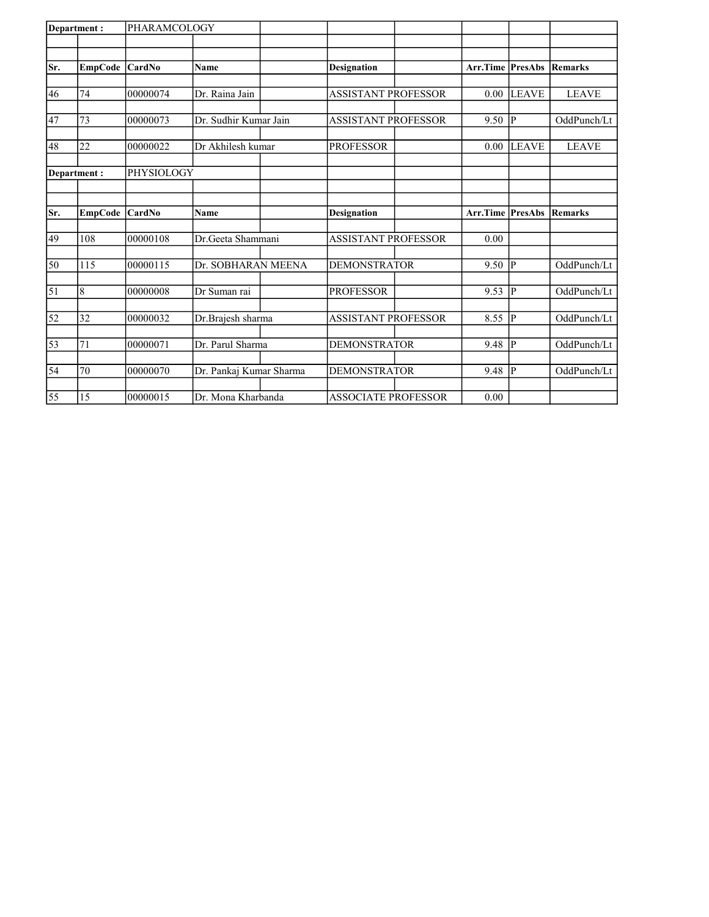| Department: |                | PHARAMCOLOGY  |                         |                            |                  |                |              |
|-------------|----------------|---------------|-------------------------|----------------------------|------------------|----------------|--------------|
|             |                |               |                         |                            |                  |                |              |
| Sr.         | <b>EmpCode</b> | <b>CardNo</b> | <b>Name</b>             | <b>Designation</b>         | Arr.Time         | <b>PresAbs</b> | Remarks      |
|             |                |               |                         |                            |                  |                |              |
| 46          | 74             | 00000074      | Dr. Raina Jain          | <b>ASSISTANT PROFESSOR</b> | 0.00             | LEAVE          | <b>LEAVE</b> |
|             |                |               |                         |                            |                  |                |              |
| 47          | 73             | 00000073      | Dr. Sudhir Kumar Jain   | <b>ASSISTANT PROFESSOR</b> | 9.50             | lР             | OddPunch/Lt  |
| 48          | 22             | 00000022      | Dr Akhilesh kumar       | <b>PROFESSOR</b>           | 0.00             | LEAVE          | <b>LEAVE</b> |
|             | Department:    | PHYSIOLOGY    |                         |                            |                  |                |              |
|             |                |               |                         |                            |                  |                |              |
| Sr.         | <b>EmpCode</b> | CardNo        | <b>Name</b>             | <b>Designation</b>         | Arr.Time PresAbs |                | Remarks      |
|             | 108            | 00000108      | Dr. Geeta Shammani      | <b>ASSISTANT PROFESSOR</b> | 0.00             |                |              |
| 49          |                |               |                         |                            |                  |                |              |
| 50          | 115            | 00000115      | Dr. SOBHARAN MEENA      | <b>DEMONSTRATOR</b>        | 9.50             | IР             | OddPunch/Lt  |
| $\vert$ 51  | 8              | 00000008      | Dr Suman rai            | <b>PROFESSOR</b>           | 9.53             | Þ              | OddPunch/Lt  |
|             |                |               |                         |                            |                  |                |              |
| 52          | 32             | 00000032      | Dr.Brajesh sharma       | <b>ASSISTANT PROFESSOR</b> | 8.55             | lР             | OddPunch/Lt  |
| 53          | 71             | 00000071      | Dr. Parul Sharma        | <b>DEMONSTRATOR</b>        | 9.48             | Þ              | OddPunch/Lt  |
|             |                |               |                         |                            |                  |                |              |
| 54          | 70             | 00000070      | Dr. Pankaj Kumar Sharma | <b>DEMONSTRATOR</b>        | 9.48             | lР             | OddPunch/Lt  |
| 55          | 15             | 00000015      | Dr. Mona Kharbanda      | ASSOCIATE PROFESSOR        | 0.00             |                |              |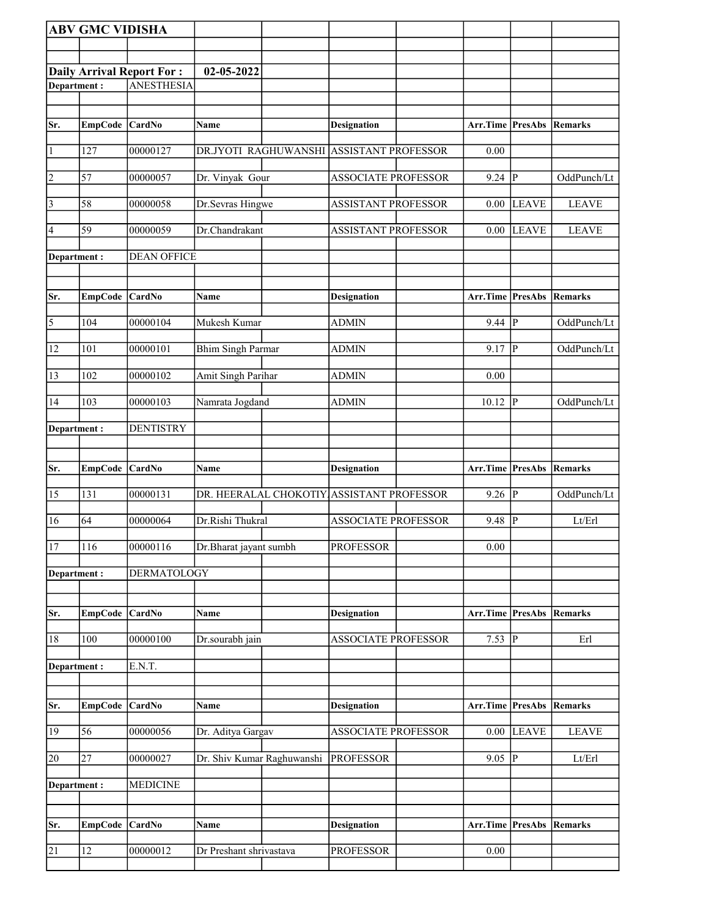|                         | <b>ABV GMC VIDISHA</b> |                                                       |                            |                                           |                                 |                |                |
|-------------------------|------------------------|-------------------------------------------------------|----------------------------|-------------------------------------------|---------------------------------|----------------|----------------|
|                         |                        |                                                       |                            |                                           |                                 |                |                |
|                         |                        |                                                       |                            |                                           |                                 |                |                |
| Department:             |                        | <b>Daily Arrival Report For:</b><br><b>ANESTHESIA</b> | 02-05-2022                 |                                           |                                 |                |                |
|                         |                        |                                                       |                            |                                           |                                 |                |                |
|                         |                        |                                                       |                            |                                           |                                 |                |                |
| Sr.                     | <b>EmpCode</b>         | <b>CardNo</b>                                         | Name                       | <b>Designation</b>                        | <b>Arr.Time PresAbs Remarks</b> |                |                |
| $\vert$ 1               | 127                    | 00000127                                              |                            | DR.JYOTI RAGHUWANSHI ASSISTANT PROFESSOR  | $0.00\,$                        |                |                |
| $\overline{2}$          | 57                     | 00000057                                              | Dr. Vinyak Gour            | <b>ASSOCIATE PROFESSOR</b>                | $9.24$ P                        |                | OddPunch/Lt    |
| $\overline{3}$          | 58                     | 00000058                                              | Dr.Sevras Hingwe           | <b>ASSISTANT PROFESSOR</b>                | $0.00\,$                        | <b>LEAVE</b>   | <b>LEAVE</b>   |
| 4                       | 59                     | 00000059                                              | Dr.Chandrakant             | <b>ASSISTANT PROFESSOR</b>                | 0.00                            | <b>LEAVE</b>   | <b>LEAVE</b>   |
| Department :            |                        | <b>DEAN OFFICE</b>                                    |                            |                                           |                                 |                |                |
|                         |                        |                                                       |                            |                                           |                                 |                |                |
| Sr.                     | <b>EmpCode</b>         | <b>CardNo</b>                                         | Name                       | <b>Designation</b>                        | <b>Arr.Time PresAbs Remarks</b> |                |                |
| $\overline{\mathbf{5}}$ | 104                    | 00000104                                              | Mukesh Kumar               | <b>ADMIN</b>                              | 9.44                            | P              | OddPunch/Lt    |
| 12                      | 101                    | 00000101                                              | <b>Bhim Singh Parmar</b>   | <b>ADMIN</b>                              | 9.17                            | <sup> </sup> P | OddPunch/Lt    |
| 13                      | 102                    | 00000102                                              | Amit Singh Parihar         | <b>ADMIN</b>                              | 0.00                            |                |                |
| 14                      | 103                    | 00000103                                              | Namrata Jogdand            | <b>ADMIN</b>                              | 10.12                           | <sup> </sup> P | OddPunch/Lt    |
| Department:             |                        | <b>DENTISTRY</b>                                      |                            |                                           |                                 |                |                |
|                         |                        |                                                       |                            |                                           |                                 |                |                |
|                         |                        |                                                       |                            |                                           |                                 |                |                |
| Sr.                     | <b>EmpCode</b>         | <b>CardNo</b>                                         | Name                       | <b>Designation</b>                        | Arr.Time PresAbs                |                | <b>Remarks</b> |
| 15                      | 131                    | 00000131                                              |                            | DR. HEERALAL CHOKOTIY ASSISTANT PROFESSOR | $9.26$ P                        |                | OddPunch/Lt    |
| 16                      | 64                     | 00000064                                              | Dr.Rishi Thukral           | <b>ASSOCIATE PROFESSOR</b>                | 9.48                            | <sup> </sup> P | Lt/Erl         |
| 17                      | 116                    | 00000116                                              | Dr.Bharat jayant sumbh     | <b>PROFESSOR</b>                          | 0.00                            |                |                |
| Department:             |                        | <b>DERMATOLOGY</b>                                    |                            |                                           |                                 |                |                |
|                         |                        |                                                       |                            |                                           |                                 |                |                |
| Sr.                     | <b>EmpCode</b>         | <b>CardNo</b>                                         | Name                       | <b>Designation</b>                        | Arr.Time                        | <b>PresAbs</b> | <b>Remarks</b> |
| $18\,$                  | 100                    | 00000100                                              | Dr.sourabh jain            | <b>ASSOCIATE PROFESSOR</b>                | $7.53$ P                        |                | Erl            |
| Department:             |                        | E.N.T.                                                |                            |                                           |                                 |                |                |
|                         |                        |                                                       |                            |                                           |                                 |                |                |
| Sr.                     | EmpCode                | <b>CardNo</b>                                         | Name                       | <b>Designation</b>                        | Arr.Time PresAbs Remarks        |                |                |
| 19                      | 56                     | 00000056                                              | Dr. Aditya Gargav          | <b>ASSOCIATE PROFESSOR</b>                | $0.00\,$                        | <b>LEAVE</b>   | <b>LEAVE</b>   |
| 20                      | 27                     | 00000027                                              | Dr. Shiv Kumar Raghuwanshi | <b>PROFESSOR</b>                          | $9.05$ P                        |                | Lt/Erl         |
| Department:             |                        | <b>MEDICINE</b>                                       |                            |                                           |                                 |                |                |
|                         |                        |                                                       |                            |                                           |                                 |                |                |
| Sr.                     | <b>EmpCode</b>         | <b>CardNo</b>                                         | Name                       | <b>Designation</b>                        | Arr.Time PresAbs                |                | Remarks        |
| 21                      | 12                     | 00000012                                              | Dr Preshant shrivastava    | <b>PROFESSOR</b>                          | $0.00\,$                        |                |                |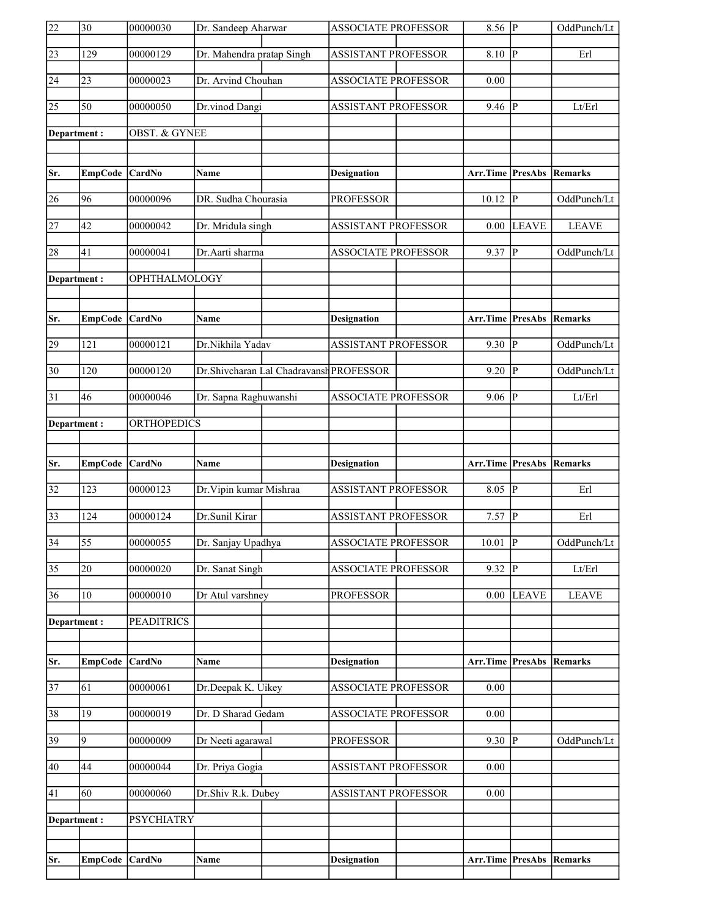| 22              | $\overline{30}$ | 00000030                 | Dr. Sandeep Aharwar                      | <b>ASSOCIATE PROFESSOR</b> | $8.56$ P                        |                | OddPunch/Lt    |
|-----------------|-----------------|--------------------------|------------------------------------------|----------------------------|---------------------------------|----------------|----------------|
| $\overline{23}$ | 129             | 00000129                 | Dr. Mahendra pratap Singh                | <b>ASSISTANT PROFESSOR</b> | 8.10                            | $\overline{P}$ | Erl            |
| 24              | 23              | 00000023                 | Dr. Arvind Chouhan                       | ASSOCIATE PROFESSOR        | 0.00                            |                |                |
| $\overline{25}$ | $\overline{50}$ | 00000050                 | Dr.vinod Dangi                           | <b>ASSISTANT PROFESSOR</b> | $9.46$ P                        |                | Lt/Erl         |
| Department:     |                 | <b>OBST. &amp; GYNEE</b> |                                          |                            |                                 |                |                |
|                 |                 |                          |                                          |                            |                                 |                |                |
| Sr.             | <b>EmpCode</b>  | <b>CardNo</b>            | <b>Name</b>                              | <b>Designation</b>         | <b>Arr.Time PresAbs Remarks</b> |                |                |
| 26              | 96              | 00000096                 | DR. Sudha Chourasia                      | <b>PROFESSOR</b>           | 10.12                           | P              | OddPunch/Lt    |
| $\overline{27}$ | 42              | 00000042                 | Dr. Mridula singh                        | <b>ASSISTANT PROFESSOR</b> | 0.00                            | <b>LEAVE</b>   | <b>LEAVE</b>   |
| 28              | 41              | 00000041                 | Dr.Aarti sharma                          | <b>ASSOCIATE PROFESSOR</b> | $9.37$ P                        |                | OddPunch/Lt    |
| Department:     |                 | OPHTHALMOLOGY            |                                          |                            |                                 |                |                |
|                 |                 |                          |                                          |                            |                                 |                |                |
| Sr.             | <b>EmpCode</b>  | <b>CardNo</b>            | Name                                     | <b>Designation</b>         | <b>Arr.Time PresAbs Remarks</b> |                |                |
| 29              | 121             | 00000121                 | Dr.Nikhila Yadav                         | <b>ASSISTANT PROFESSOR</b> | 9.30                            | $\overline{P}$ | OddPunch/Lt    |
| $\overline{30}$ | 120             | 00000120                 | Dr. Shivcharan Lal Chadravansh PROFESSOR |                            | $9.20$ P                        |                | OddPunch/Lt    |
| $\overline{31}$ | 46              | 00000046                 | Dr. Sapna Raghuwanshi                    | <b>ASSOCIATE PROFESSOR</b> | $9.06$ P                        |                | Lt/Erl         |
| Department:     |                 | <b>ORTHOPEDICS</b>       |                                          |                            |                                 |                |                |
|                 |                 |                          |                                          |                            |                                 |                |                |
|                 |                 |                          |                                          |                            |                                 |                |                |
| Sr.             | <b>EmpCode</b>  | <b>CardNo</b>            | Name                                     | <b>Designation</b>         | Arr.Time PresAbs                |                | <b>Remarks</b> |
| $\overline{32}$ | 123             | 00000123                 | Dr. Vipin kumar Mishraa                  | <b>ASSISTANT PROFESSOR</b> | 8.05 $\overline{P}$             |                | Erl            |
| $\overline{33}$ | 124             | 00000124                 | Dr.Sunil Kirar                           | <b>ASSISTANT PROFESSOR</b> | $7.57$ P                        |                | Erl            |
| $\overline{34}$ | $\overline{55}$ | 00000055                 | Dr. Sanjay Upadhya                       | <b>ASSOCIATE PROFESSOR</b> | 10.01                           | $\overline{P}$ | OddPunch/Lt    |
| $\overline{35}$ | 20              | 00000020                 | Dr. Sanat Singh                          | <b>ASSOCIATE PROFESSOR</b> | $9.32$ P                        |                | Lt/Erl         |
| 36              | 10              | 00000010                 | Dr Atul varshney                         | <b>PROFESSOR</b>           | 0.00                            | <b>LEAVE</b>   | <b>LEAVE</b>   |
| Department:     |                 | <b>PEADITRICS</b>        |                                          |                            |                                 |                |                |
|                 |                 |                          |                                          |                            |                                 |                |                |
| Sr.             | <b>EmpCode</b>  | CardNo                   | Name                                     | <b>Designation</b>         | <b>Arr.Time PresAbs</b>         |                | <b>Remarks</b> |
| $\overline{37}$ | 61              | 00000061                 | Dr.Deepak K. Uikey                       | <b>ASSOCIATE PROFESSOR</b> | 0.00                            |                |                |
| 38              | 19              | 00000019                 | Dr. D Sharad Gedam                       | <b>ASSOCIATE PROFESSOR</b> | 0.00                            |                |                |
| 39              | 9               | 00000009                 | Dr Neeti agarawal                        | <b>PROFESSOR</b>           | 9.30                            | P              | OddPunch/Lt    |
| 40              | 44              | 00000044                 | Dr. Priya Gogia                          | <b>ASSISTANT PROFESSOR</b> | 0.00                            |                |                |
| 41              | 60              | 00000060                 | Dr.Shiv R.k. Dubey                       | <b>ASSISTANT PROFESSOR</b> | 0.00                            |                |                |
| Department:     |                 | <b>PSYCHIATRY</b>        |                                          |                            |                                 |                |                |
|                 |                 |                          |                                          |                            |                                 |                |                |
| Sr.             | <b>EmpCode</b>  | CardNo                   | Name                                     | <b>Designation</b>         | <b>Arr.Time PresAbs</b>         |                | <b>Remarks</b> |